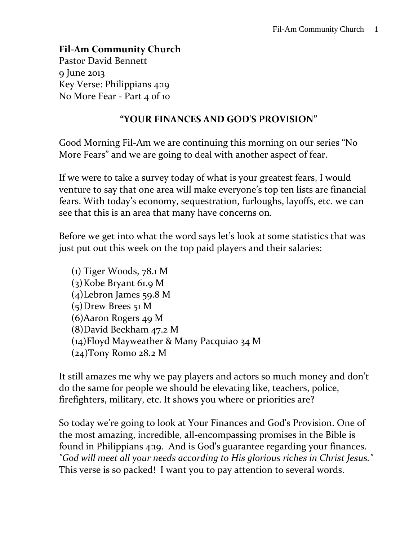### **Fil-Am Community Church**

Pastor David Bennett 9 June 2013 Key Verse: Philippians 4:19 No More Fear - Part 4 of 10

#### **"YOUR FINANCES AND GOD'S PROVISION"**

Good Morning Fil-Am we are continuing this morning on our series "No More Fears" and we are going to deal with another aspect of fear.

If we were to take a survey today of what is your greatest fears, I would venture to say that one area will make everyone's top ten lists are financial fears. With today's economy, sequestration, furloughs, layoffs, etc. we can see that this is an area that many have concerns on.

Before we get into what the word says let's look at some statistics that was just put out this week on the top paid players and their salaries:

(1) Tiger Woods, 78.1 M (3)Kobe Bryant 61.9 M (4)Lebron James 59.8 M (5)Drew Brees 51 M (6)Aaron Rogers 49 M (8)David Beckham 47.2 M (14)Floyd Mayweather & Many Pacquiao 34 M (24)Tony Romo 28.2 M

It still amazes me why we pay players and actors so much money and don't do the same for people we should be elevating like, teachers, police, firefighters, military, etc. It shows you where or priorities are?

So today we're going to look at Your Finances and God's Provision. One of the most amazing, incredible, all-encompassing promises in the Bible is found in Philippians 4:19. And is God's guarantee regarding your finances. *"God will meet all your needs according to His glorious riches in Christ Jesus."*  This verse is so packed! I want you to pay attention to several words.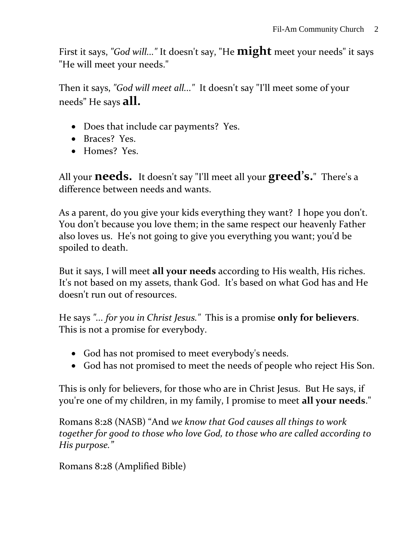First it says, *"God will..."* It doesn't say, "He **might** meet your needs" it says "He will meet your needs."

Then it says, *"God will meet all..."* It doesn't say "I'll meet some of your needs" He says **all.**

- Does that include car payments? Yes.
- Braces? Yes.
- Homes? Yes.

All your **needs.** It doesn't say "I'll meet all your **greed's.**" There's a difference between needs and wants.

As a parent, do you give your kids everything they want? I hope you don't. You don't because you love them; in the same respect our heavenly Father also loves us. He's not going to give you everything you want; you'd be spoiled to death.

But it says, I will meet **all your needs** according to His wealth, His riches. It's not based on my assets, thank God. It's based on what God has and He doesn't run out of resources.

He says *"... for you in Christ Jesus."* This is a promise **only for believers**. This is not a promise for everybody.

- God has not promised to meet everybody's needs.
- God has not promised to meet the needs of people who reject His Son.

This is only for believers, for those who are in Christ Jesus. But He says, if you're one of my children, in my family, I promise to meet **all your needs**."

Romans 8:28 (NASB) "And *we know that God causes all things to work together for good to those who love God, to those who are called according to His purpose."* 

Romans 8:28 (Amplified Bible)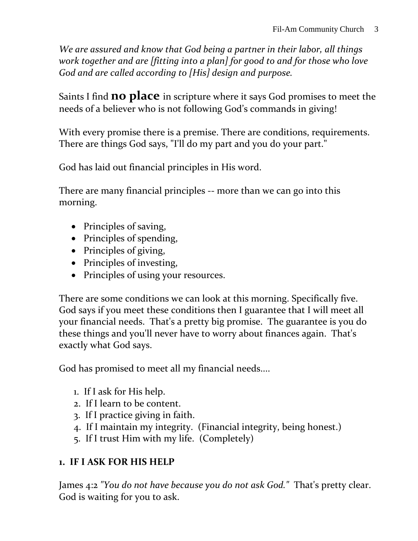*We are assured and know that God being a partner in their labor, all things work together and are [fitting into a plan] for good to and for those who love God and are called according to [His] design and purpose.*

Saints I find **no place** in scripture where it says God promises to meet the needs of a believer who is not following God's commands in giving!

With every promise there is a premise. There are conditions, requirements. There are things God says, "I'll do my part and you do your part."

God has laid out financial principles in His word.

There are many financial principles -- more than we can go into this morning.

- Principles of saving,
- Principles of spending,
- Principles of giving,
- Principles of investing,
- Principles of using your resources.

There are some conditions we can look at this morning. Specifically five. God says if you meet these conditions then I guarantee that I will meet all your financial needs. That's a pretty big promise. The guarantee is you do these things and you'll never have to worry about finances again. That's exactly what God says.

God has promised to meet all my financial needs....

- 1. If I ask for His help.
- 2. If I learn to be content.
- 3. If I practice giving in faith.
- 4. If I maintain my integrity. (Financial integrity, being honest.)
- 5. If I trust Him with my life. (Completely)

# **1. IF I ASK FOR HIS HELP**

James 4:2 *"You do not have because you do not ask God."* That's pretty clear. God is waiting for you to ask.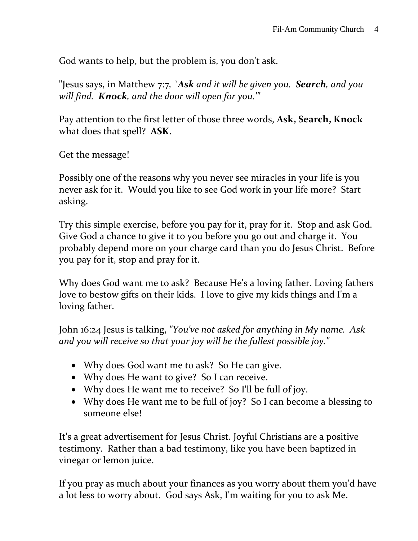God wants to help, but the problem is, you don't ask.

"Jesus says, in Matthew 7:7*, `Ask and it will be given you. Search, and you will find. Knock, and the door will open for you.'"*

Pay attention to the first letter of those three words, **Ask, Search, Knock** what does that spell? **ASK.** 

Get the message!

Possibly one of the reasons why you never see miracles in your life is you never ask for it. Would you like to see God work in your life more? Start asking.

Try this simple exercise, before you pay for it, pray for it. Stop and ask God. Give God a chance to give it to you before you go out and charge it. You probably depend more on your charge card than you do Jesus Christ. Before you pay for it, stop and pray for it.

Why does God want me to ask? Because He's a loving father. Loving fathers love to bestow gifts on their kids. I love to give my kids things and I'm a loving father.

John 16:24 Jesus is talking, *"You've not asked for anything in My name. Ask and you will receive so that your joy will be the fullest possible joy."*

- Why does God want me to ask? So He can give.
- Why does He want to give? So I can receive.
- Why does He want me to receive? So I'll be full of joy.
- Why does He want me to be full of joy? So I can become a blessing to someone else!

It's a great advertisement for Jesus Christ. Joyful Christians are a positive testimony. Rather than a bad testimony, like you have been baptized in vinegar or lemon juice.

If you pray as much about your finances as you worry about them you'd have a lot less to worry about. God says Ask, I'm waiting for you to ask Me.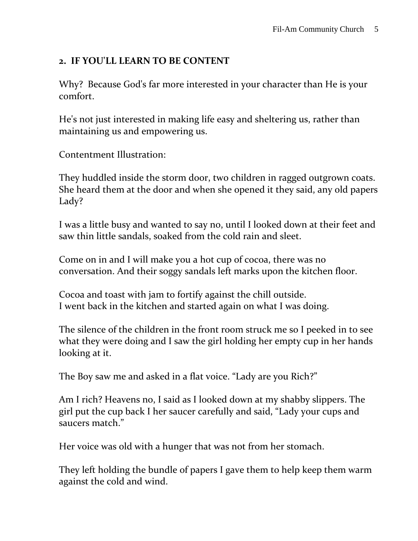## **2. IF YOU'LL LEARN TO BE CONTENT**

Why? Because God's far more interested in your character than He is your comfort.

He's not just interested in making life easy and sheltering us, rather than maintaining us and empowering us.

Contentment Illustration:

They huddled inside the storm door, two children in ragged outgrown coats. She heard them at the door and when she opened it they said, any old papers Lady?

I was a little busy and wanted to say no, until I looked down at their feet and saw thin little sandals, soaked from the cold rain and sleet.

Come on in and I will make you a hot cup of cocoa, there was no conversation. And their soggy sandals left marks upon the kitchen floor.

Cocoa and toast with jam to fortify against the chill outside. I went back in the kitchen and started again on what I was doing.

The silence of the children in the front room struck me so I peeked in to see what they were doing and I saw the girl holding her empty cup in her hands looking at it.

The Boy saw me and asked in a flat voice. "Lady are you Rich?"

Am I rich? Heavens no, I said as I looked down at my shabby slippers. The girl put the cup back I her saucer carefully and said, "Lady your cups and saucers match."

Her voice was old with a hunger that was not from her stomach.

They left holding the bundle of papers I gave them to help keep them warm against the cold and wind.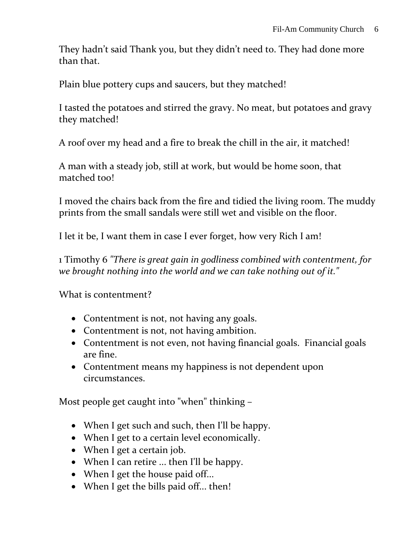They hadn't said Thank you, but they didn't need to. They had done more than that.

Plain blue pottery cups and saucers, but they matched!

I tasted the potatoes and stirred the gravy. No meat, but potatoes and gravy they matched!

A roof over my head and a fire to break the chill in the air, it matched!

A man with a steady job, still at work, but would be home soon, that matched too!

I moved the chairs back from the fire and tidied the living room. The muddy prints from the small sandals were still wet and visible on the floor.

I let it be, I want them in case I ever forget, how very Rich I am!

1 Timothy 6 *"There is great gain in godliness combined with contentment, for we brought nothing into the world and we can take nothing out of it."*

What is contentment?

- Contentment is not, not having any goals.
- Contentment is not, not having ambition.
- Contentment is not even, not having financial goals. Financial goals are fine.
- Contentment means my happiness is not dependent upon circumstances.

Most people get caught into "when" thinking –

- When I get such and such, then I'll be happy.
- When I get to a certain level economically.
- When I get a certain job.
- When I can retire ... then I'll be happy.
- When I get the house paid off...
- When I get the bills paid off... then!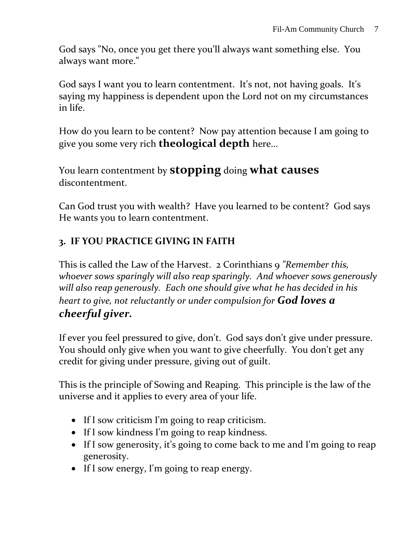God says "No, once you get there you'll always want something else. You always want more."

God says I want you to learn contentment. It's not, not having goals. It's saying my happiness is dependent upon the Lord not on my circumstances in life.

How do you learn to be content? Now pay attention because I am going to give you some very rich **theological depth** here…

You learn contentment by **stopping** doing **what causes** discontentment.

Can God trust you with wealth? Have you learned to be content? God says He wants you to learn contentment.

# **3. IF YOU PRACTICE GIVING IN FAITH**

This is called the Law of the Harvest. 2 Corinthians 9 *"Remember this, whoever sows sparingly will also reap sparingly. And whoever sows generously will also reap generously. Each one should give what he has decided in his heart to give, not reluctantly or under compulsion for God loves a cheerful giver.*

If ever you feel pressured to give, don't. God says don't give under pressure. You should only give when you want to give cheerfully. You don't get any credit for giving under pressure, giving out of guilt.

This is the principle of Sowing and Reaping. This principle is the law of the universe and it applies to every area of your life.

- If I sow criticism I'm going to reap criticism.
- If I sow kindness I'm going to reap kindness.
- If I sow generosity, it's going to come back to me and I'm going to reap generosity.
- If I sow energy, I'm going to reap energy.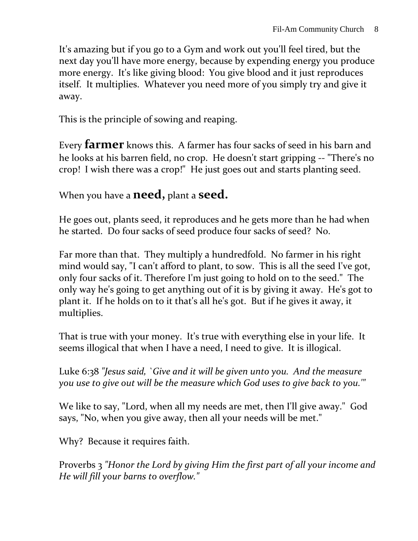It's amazing but if you go to a Gym and work out you'll feel tired, but the next day you'll have more energy, because by expending energy you produce more energy. It's like giving blood: You give blood and it just reproduces itself. It multiplies. Whatever you need more of you simply try and give it away.

This is the principle of sowing and reaping.

Every **farmer** knows this. A farmer has four sacks of seed in his barn and he looks at his barren field, no crop. He doesn't start gripping -- "There's no crop! I wish there was a crop!" He just goes out and starts planting seed.

When you have a **need,** plant a **seed.** 

He goes out, plants seed, it reproduces and he gets more than he had when he started. Do four sacks of seed produce four sacks of seed? No.

Far more than that. They multiply a hundredfold. No farmer in his right mind would say, "I can't afford to plant, to sow. This is all the seed I've got, only four sacks of it. Therefore I'm just going to hold on to the seed." The only way he's going to get anything out of it is by giving it away. He's got to plant it. If he holds on to it that's all he's got. But if he gives it away, it multiplies.

That is true with your money. It's true with everything else in your life. It seems illogical that when I have a need, I need to give. It is illogical.

Luke 6:38 *"Jesus said, `Give and it will be given unto you. And the measure you use to give out will be the measure which God uses to give back to you.'"*

We like to say, "Lord, when all my needs are met, then I'll give away." God says, "No, when you give away, then all your needs will be met."

Why? Because it requires faith.

Proverbs 3 *"Honor the Lord by giving Him the first part of all your income and He will fill your barns to overflow."*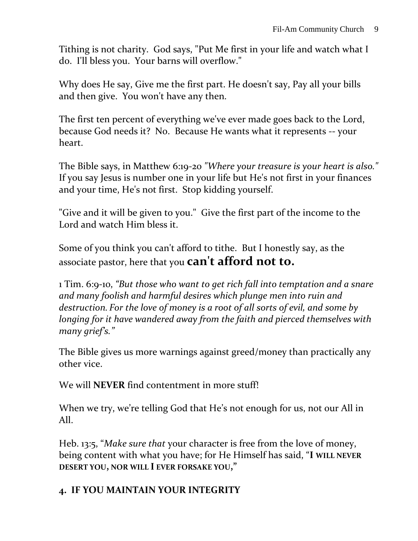Tithing is not charity. God says, "Put Me first in your life and watch what I do. I'll bless you. Your barns will overflow."

Why does He say, Give me the first part. He doesn't say, Pay all your bills and then give. You won't have any then.

The first ten percent of everything we've ever made goes back to the Lord, because God needs it? No. Because He wants what it represents -- your heart.

The Bible says, in Matthew 6:19-20 *"Where your treasure is your heart is also."* If you say Jesus is number one in your life but He's not first in your finances and your time, He's not first. Stop kidding yourself.

"Give and it will be given to you." Give the first part of the income to the Lord and watch Him bless it.

Some of you think you can't afford to tithe. But I honestly say, as the associate pastor, here that you **can't afford not to.**

1 Tim. 6:9-10, *"But those who want to get rich fall into temptation and a snare and many foolish and harmful desires which plunge men into ruin and destruction. For the love of money is a root of all sorts of evil, and some by longing for it have wandered away from the faith and pierced themselves with many grief's."*

The Bible gives us more warnings against greed/money than practically any other vice.

We will **NEVER** find contentment in more stuff!

When we try, we're telling God that He's not enough for us, not our All in All.

Heb. 13:5, "*Make sure that* your character is free from the love of money, being content with what you have; for He Himself has said, "**I WILL NEVER DESERT YOU, NOR WILL I EVER FORSAKE YOU,"**

## **4. IF YOU MAINTAIN YOUR INTEGRITY**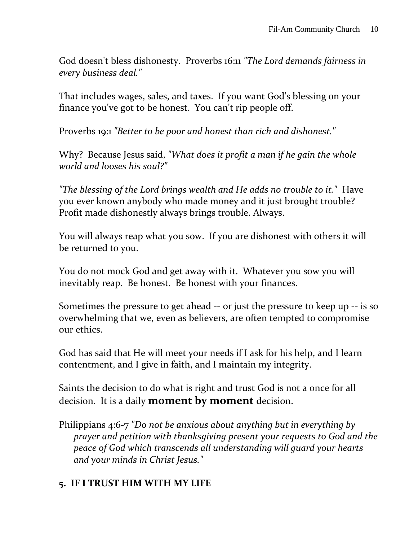God doesn't bless dishonesty. Proverbs 16:11 *"The Lord demands fairness in every business deal."*

That includes wages, sales, and taxes. If you want God's blessing on your finance you've got to be honest. You can't rip people off.

Proverbs 19:1 *"Better to be poor and honest than rich and dishonest."*

Why? Because Jesus said, *"What does it profit a man if he gain the whole world and looses his soul?"*

*"The blessing of the Lord brings wealth and He adds no trouble to it."* Have you ever known anybody who made money and it just brought trouble? Profit made dishonestly always brings trouble. Always.

You will always reap what you sow. If you are dishonest with others it will be returned to you.

You do not mock God and get away with it. Whatever you sow you will inevitably reap. Be honest. Be honest with your finances.

Sometimes the pressure to get ahead -- or just the pressure to keep up -- is so overwhelming that we, even as believers, are often tempted to compromise our ethics.

God has said that He will meet your needs if I ask for his help, and I learn contentment, and I give in faith, and I maintain my integrity.

Saints the decision to do what is right and trust God is not a once for all decision. It is a daily **moment by moment** decision.

Philippians 4:6-7 *"Do not be anxious about anything but in everything by prayer and petition with thanksgiving present your requests to God and the peace of God which transcends all understanding will guard your hearts and your minds in Christ Jesus."*

#### **5. IF I TRUST HIM WITH MY LIFE**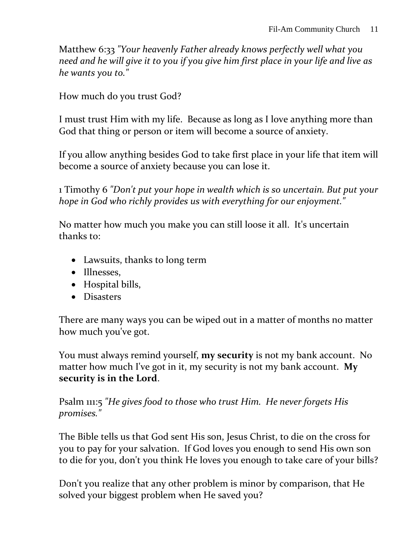Matthew 6:33 *"Your heavenly Father already knows perfectly well what you need and he will give it to you if you give him first place in your life and live as he wants you to."*

How much do you trust God?

I must trust Him with my life. Because as long as I love anything more than God that thing or person or item will become a source of anxiety.

If you allow anything besides God to take first place in your life that item will become a source of anxiety because you can lose it.

1 Timothy 6 *"Don't put your hope in wealth which is so uncertain. But put your hope in God who richly provides us with everything for our enjoyment."*

No matter how much you make you can still loose it all. It's uncertain thanks to:

- Lawsuits, thanks to long term
- Illnesses,
- Hospital bills,
- Disasters

There are many ways you can be wiped out in a matter of months no matter how much you've got.

You must always remind yourself, **my security** is not my bank account. No matter how much I've got in it, my security is not my bank account. **My security is in the Lord**.

Psalm 111:5 *"He gives food to those who trust Him. He never forgets His promises."*

The Bible tells us that God sent His son, Jesus Christ, to die on the cross for you to pay for your salvation. If God loves you enough to send His own son to die for you, don't you think He loves you enough to take care of your bills?

Don't you realize that any other problem is minor by comparison, that He solved your biggest problem when He saved you?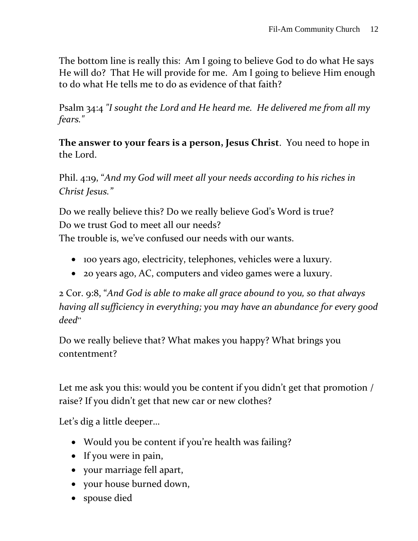The bottom line is really this: Am I going to believe God to do what He says He will do? That He will provide for me. Am I going to believe Him enough to do what He tells me to do as evidence of that faith?

Psalm 34:4 *"I sought the Lord and He heard me. He delivered me from all my fears."*

**The answer to your fears is a person, Jesus Christ**. You need to hope in the Lord.

Phil. 4:19, "*And my God will meet all your needs according to his riches in Christ Jesus."*

Do we really believe this? Do we really believe God's Word is true? Do we trust God to meet all our needs?

The trouble is, we've confused our needs with our wants.

- 100 years ago, electricity, telephones, vehicles were a luxury.
- 20 years ago, AC, computers and video games were a luxury.

2 Cor. 9:8, "*And God is able to make all grace abound to you, so that always having all sufficiency in everything; you may have an abundance for every good deed*"

Do we really believe that? What makes you happy? What brings you contentment?

Let me ask you this: would you be content if you didn't get that promotion / raise? If you didn't get that new car or new clothes?

Let's dig a little deeper…

- Would you be content if you're health was failing?
- If you were in pain,
- your marriage fell apart,
- your house burned down,
- spouse died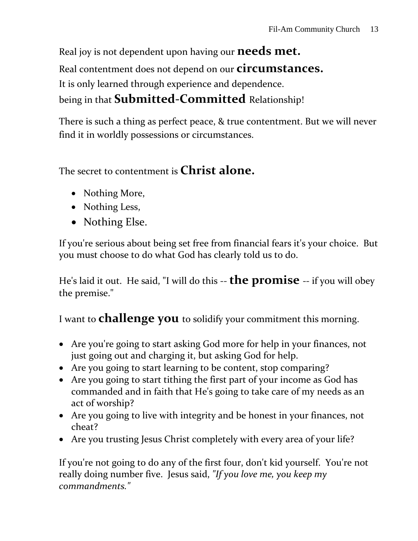Real joy is not dependent upon having our **needs met.** Real contentment does not depend on our **circumstances.** It is only learned through experience and dependence. being in that **Submitted-Committed** Relationship!

There is such a thing as perfect peace, & true contentment. But we will never find it in worldly possessions or circumstances.

The secret to contentment is **Christ alone.**

- Nothing More,
- Nothing Less,
- Nothing Else.

If you're serious about being set free from financial fears it's your choice. But you must choose to do what God has clearly told us to do.

He's laid it out. He said, "I will do this --**the promise** -- if you will obey the premise."

I want to **challenge you** to solidify your commitment this morning.

- Are you're going to start asking God more for help in your finances, not just going out and charging it, but asking God for help.
- Are you going to start learning to be content, stop comparing?
- Are you going to start tithing the first part of your income as God has commanded and in faith that He's going to take care of my needs as an act of worship?
- Are you going to live with integrity and be honest in your finances, not cheat?
- Are you trusting Jesus Christ completely with every area of your life?

If you're not going to do any of the first four, don't kid yourself. You're not really doing number five. Jesus said, *"If you love me, you keep my commandments."*